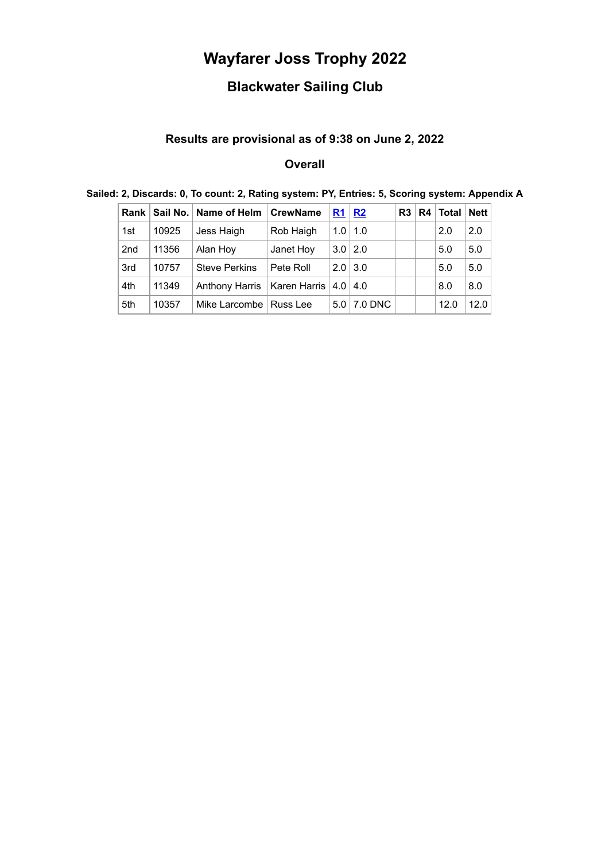# **Wayfarer Joss Trophy 2022**

## **Blackwater Sailing Club**

#### **Results are provisional as of 9:38 on June 2, 2022**

### **Overall**

| Rank I |       | Sail No.   Name of Helm       | <b>CrewName</b> | R <sub>1</sub> | R2          | R <sub>3</sub> | R4 | Total   Nett |      |
|--------|-------|-------------------------------|-----------------|----------------|-------------|----------------|----|--------------|------|
| 1st    | 10925 | Jess Haigh                    | Rob Haigh       | 1.0            | $\vert$ 1.0 |                |    | 2.0          | 2.0  |
| 2nd    | 11356 | Alan Hoy                      | Janet Hoy       | $3.0$   2.0    |             |                |    | 5.0          | 5.0  |
| 3rd    | 10757 | <b>Steve Perkins</b>          | Pete Roll       | 2.0            | 3.0         |                |    | 5.0          | 5.0  |
| 4th    | 11349 | Anthony Harris   Karen Harris |                 | $4.0 \mid 4.0$ |             |                |    | 8.0          | 8.0  |
| 5th    | 10357 | Mike Larcombe                 | Russ Lee        | 5.0            | 7.0 DNC     |                |    | 12.0         | 12.0 |

#### **Sailed: 2, Discards: 0, To count: 2, Rating system: PY, Entries: 5, Scoring system: Appendix A**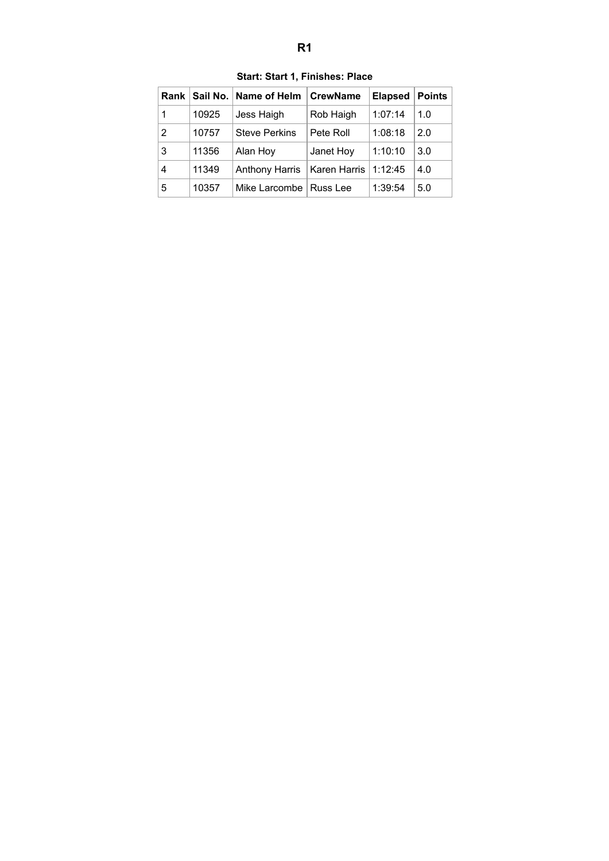<span id="page-1-0"></span>

|   |       | Rank   Sail No.   Name of Helm | <b>CrewName</b> | <b>Elapsed</b> | <b>Points</b> |
|---|-------|--------------------------------|-----------------|----------------|---------------|
| 1 | 10925 | Jess Haigh                     | Rob Haigh       | 1:07:14        | 1.0           |
| 2 | 10757 | <b>Steve Perkins</b>           | Pete Roll       | 1:08:18        | 2.0           |
| 3 | 11356 | Alan Hoy                       | Janet Hoy       | 1:10:10        | 3.0           |
| 4 | 11349 | <b>Anthony Harris</b>          | Karen Harris    | 1:12:45        | 4.0           |
| 5 | 10357 | Mike Larcombe   Russ Lee       |                 | 1:39:54        | 5.0           |

**Start: Start 1, Finishes: Place**